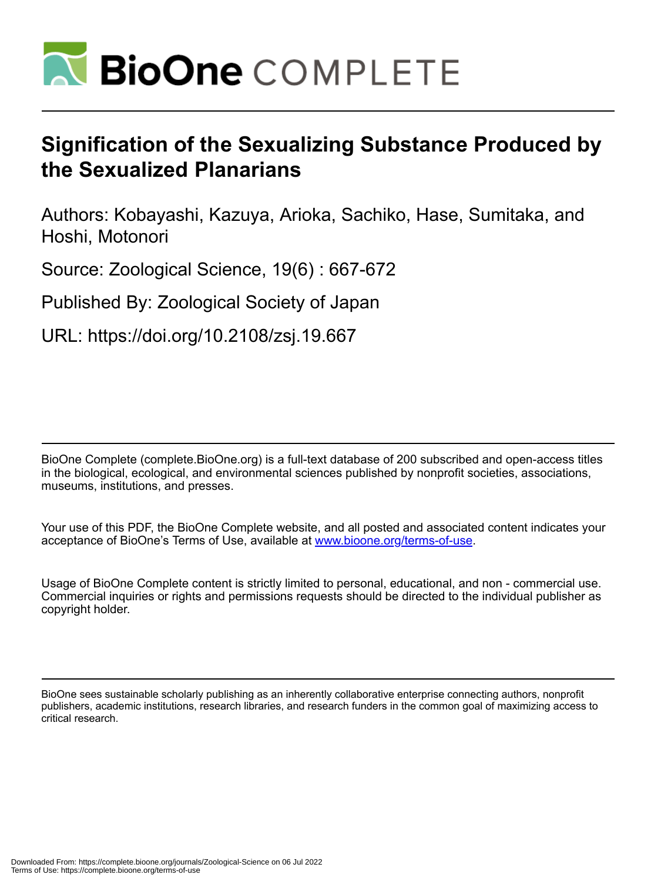

# **Signification of the Sexualizing Substance Produced by the Sexualized Planarians**

Authors: Kobayashi, Kazuya, Arioka, Sachiko, Hase, Sumitaka, and Hoshi, Motonori

Source: Zoological Science, 19(6) : 667-672

Published By: Zoological Society of Japan

URL: https://doi.org/10.2108/zsj.19.667

BioOne Complete (complete.BioOne.org) is a full-text database of 200 subscribed and open-access titles in the biological, ecological, and environmental sciences published by nonprofit societies, associations, museums, institutions, and presses.

Your use of this PDF, the BioOne Complete website, and all posted and associated content indicates your acceptance of BioOne's Terms of Use, available at www.bioone.org/terms-of-use.

Usage of BioOne Complete content is strictly limited to personal, educational, and non - commercial use. Commercial inquiries or rights and permissions requests should be directed to the individual publisher as copyright holder.

BioOne sees sustainable scholarly publishing as an inherently collaborative enterprise connecting authors, nonprofit publishers, academic institutions, research libraries, and research funders in the common goal of maximizing access to critical research.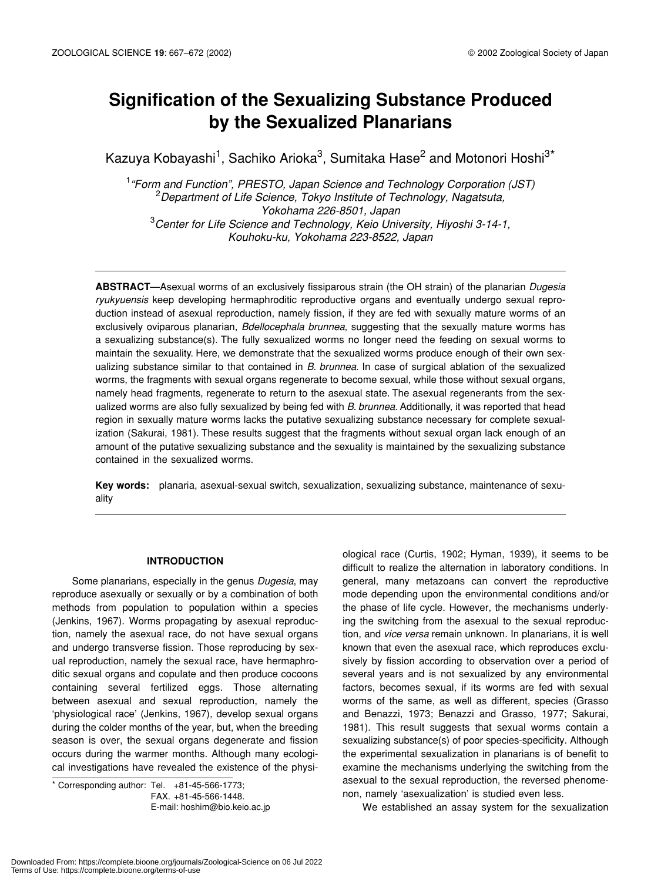# **Signification of the Sexualizing Substance Produced by the Sexualized Planarians**

Kazuya Kobayashi<sup>1</sup>, Sachiko Arioka<sup>3</sup>, Sumitaka Hase<sup>2</sup> and Motonori Hoshi<sup>3\*</sup>

1 *"Form and Function", PRESTO, Japan Science and Technology Corporation (JST)* 2 *Department of Life Science, Tokyo Institute of Technology, Nagatsuta, Yokohama 226-8501, Japan* 3 *Center for Life Science and Technology, Keio University, Hiyoshi 3-14-1, Kouhoku-ku, Yokohama 223-8522, Japan*

**ABSTRACT**—Asexual worms of an exclusively fissiparous strain (the OH strain) of the planarian *Dugesia ryukyuensis* keep developing hermaphroditic reproductive organs and eventually undergo sexual reproduction instead of asexual reproduction, namely fission, if they are fed with sexually mature worms of an exclusively oviparous planarian, *Bdellocephala brunnea*, suggesting that the sexually mature worms has a sexualizing substance(s). The fully sexualized worms no longer need the feeding on sexual worms to maintain the sexuality. Here, we demonstrate that the sexualized worms produce enough of their own sexualizing substance similar to that contained in *B. brunnea*. In case of surgical ablation of the sexualized worms, the fragments with sexual organs regenerate to become sexual, while those without sexual organs, namely head fragments, regenerate to return to the asexual state. The asexual regenerants from the sexualized worms are also fully sexualized by being fed with *B. brunnea*. Additionally, it was reported that head region in sexually mature worms lacks the putative sexualizing substance necessary for complete sexualization (Sakurai, 1981). These results suggest that the fragments without sexual organ lack enough of an amount of the putative sexualizing substance and the sexuality is maintained by the sexualizing substance contained in the sexualized worms.

**Key words:** planaria, asexual-sexual switch, sexualization, sexualizing substance, maintenance of sexuality

#### **INTRODUCTION**

Some planarians, especially in the genus *Dugesia*, may reproduce asexually or sexually or by a combination of both methods from population to population within a species (Jenkins, 1967). Worms propagating by asexual reproduction, namely the asexual race, do not have sexual organs and undergo transverse fission. Those reproducing by sexual reproduction, namely the sexual race, have hermaphroditic sexual organs and copulate and then produce cocoons containing several fertilized eggs. Those alternating between asexual and sexual reproduction, namely the 'physiological race' (Jenkins, 1967), develop sexual organs during the colder months of the year, but, when the breeding season is over, the sexual organs degenerate and fission occurs during the warmer months. Although many ecological investigations have revealed the existence of the physi-

 $*$  Corresponding author: Tel.  $+81-45-566-1773$ ; FAX. +81-45-566-1448. E-mail: hoshim@bio.keio.ac.jp ological race (Curtis, 1902; Hyman, 1939), it seems to be difficult to realize the alternation in laboratory conditions. In general, many metazoans can convert the reproductive mode depending upon the environmental conditions and/or the phase of life cycle. However, the mechanisms underlying the switching from the asexual to the sexual reproduction, and *vice versa* remain unknown. In planarians, it is well known that even the asexual race, which reproduces exclusively by fission according to observation over a period of several years and is not sexualized by any environmental factors, becomes sexual, if its worms are fed with sexual worms of the same, as well as different, species (Grasso and Benazzi, 1973; Benazzi and Grasso, 1977; Sakurai, 1981). This result suggests that sexual worms contain a sexualizing substance(s) of poor species-specificity. Although the experimental sexualization in planarians is of benefit to examine the mechanisms underlying the switching from the asexual to the sexual reproduction, the reversed phenomenon, namely 'asexualization' is studied even less.

We established an assay system for the sexualization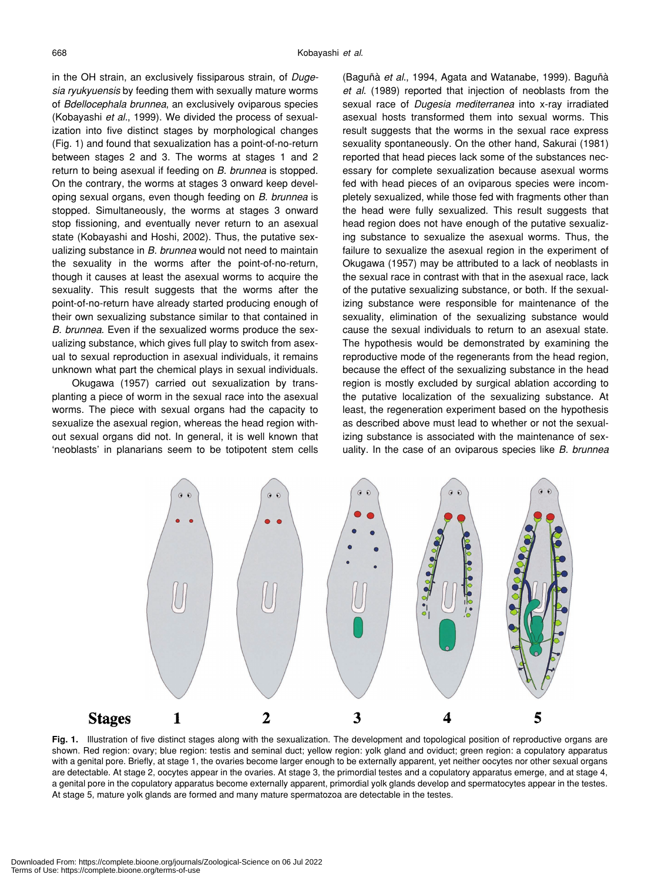in the OH strain, an exclusively fissiparous strain, of *Dugesia ryukyuensis* by feeding them with sexually mature worms of *Bdellocephala brunnea*, an exclusively oviparous species (Kobayashi *et al.*, 1999). We divided the process of sexualization into five distinct stages by morphological changes (Fig. 1) and found that sexualization has a point-of-no-return between stages 2 and 3. The worms at stages 1 and 2 return to being asexual if feeding on *B. brunnea* is stopped. On the contrary, the worms at stages 3 onward keep developing sexual organs, even though feeding on *B. brunnea* is stopped. Simultaneously, the worms at stages 3 onward stop fissioning, and eventually never return to an asexual state (Kobayashi and Hoshi, 2002). Thus, the putative sexualizing substance in *B. brunnea* would not need to maintain the sexuality in the worms after the point-of-no-return, though it causes at least the asexual worms to acquire the sexuality. This result suggests that the worms after the point-of-no-return have already started producing enough of their own sexualizing substance similar to that contained in *B. brunnea*. Even if the sexualized worms produce the sexualizing substance, which gives full play to switch from asexual to sexual reproduction in asexual individuals, it remains unknown what part the chemical plays in sexual individuals.

Okugawa (1957) carried out sexualization by transplanting a piece of worm in the sexual race into the asexual worms. The piece with sexual organs had the capacity to sexualize the asexual region, whereas the head region without sexual organs did not. In general, it is well known that 'neoblasts' in planarians seem to be totipotent stem cells

(Baguñà *et al*., 1994, Agata and Watanabe, 1999). Baguñà *et al*. (1989) reported that injection of neoblasts from the sexual race of *Dugesia mediterranea* into x-ray irradiated asexual hosts transformed them into sexual worms. This result suggests that the worms in the sexual race express sexuality spontaneously. On the other hand, Sakurai (1981) reported that head pieces lack some of the substances necessary for complete sexualization because asexual worms fed with head pieces of an oviparous species were incompletely sexualized, while those fed with fragments other than the head were fully sexualized. This result suggests that head region does not have enough of the putative sexualizing substance to sexualize the asexual worms. Thus, the failure to sexualize the asexual region in the experiment of Okugawa (1957) may be attributed to a lack of neoblasts in the sexual race in contrast with that in the asexual race, lack of the putative sexualizing substance, or both. If the sexualizing substance were responsible for maintenance of the sexuality, elimination of the sexualizing substance would cause the sexual individuals to return to an asexual state. The hypothesis would be demonstrated by examining the reproductive mode of the regenerants from the head region, because the effect of the sexualizing substance in the head region is mostly excluded by surgical ablation according to the putative localization of the sexualizing substance. At least, the regeneration experiment based on the hypothesis as described above must lead to whether or not the sexualizing substance is associated with the maintenance of sexuality. In the case of an oviparous species like *B. brunnea*



Fig. 1. Illustration of five distinct stages along with the sexualization. The development and topological position of reproductive organs are shown. Red region: ovary; blue region: testis and seminal duct; yellow region: yolk gland and oviduct; green region: a copulatory apparatus with a genital pore. Briefly, at stage 1, the ovaries become larger enough to be externally apparent, yet neither oocytes nor other sexual organs are detectable. At stage 2, oocytes appear in the ovaries. At stage 3, the primordial testes and a copulatory apparatus emerge, and at stage 4, a genital pore in the copulatory apparatus become externally apparent, primordial yolk glands develop and spermatocytes appear in the testes. At stage 5, mature yolk glands are formed and many mature spermatozoa are detectable in the testes.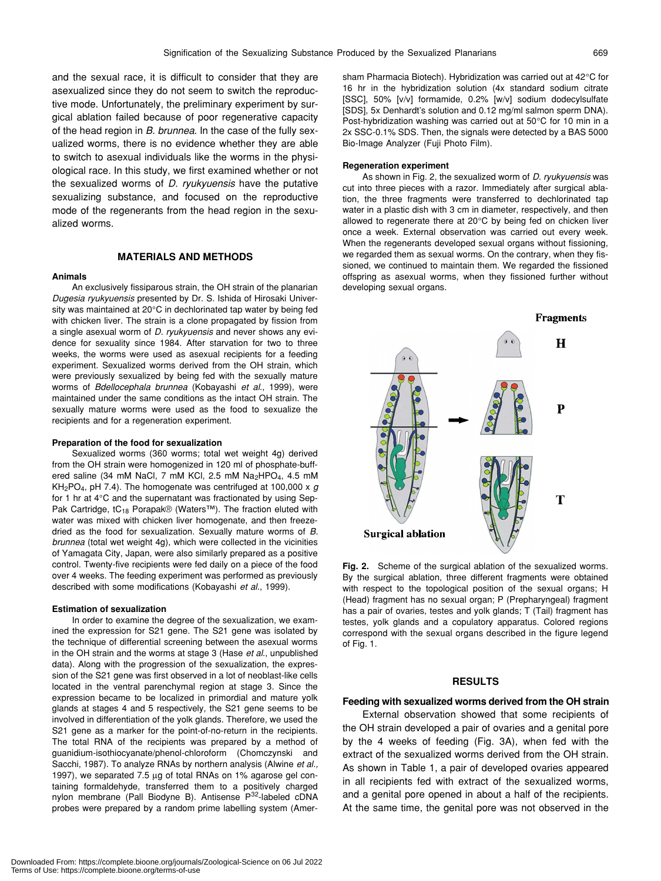and the sexual race, it is difficult to consider that they are asexualized since they do not seem to switch the reproductive mode. Unfortunately, the preliminary experiment by surgical ablation failed because of poor regenerative capacity of the head region in *B. brunnea*. In the case of the fully sexualized worms, there is no evidence whether they are able to switch to asexual individuals like the worms in the physiological race. In this study, we first examined whether or not the sexualized worms of *D. ryukyuensis* have the putative sexualizing substance, and focused on the reproductive mode of the regenerants from the head region in the sexualized worms.

#### **MATERIALS AND METHODS**

### **Animals**

An exclusively fissiparous strain, the OH strain of the planarian *Dugesia ryukyuensis* presented by Dr. S. Ishida of Hirosaki University was maintained at 20°C in dechlorinated tap water by being fed with chicken liver. The strain is a clone propagated by fission from a single asexual worm of *D. ryukyuensis* and never shows any evidence for sexuality since 1984. After starvation for two to three weeks, the worms were used as asexual recipients for a feeding experiment. Sexualized worms derived from the OH strain, which were previously sexualized by being fed with the sexually mature worms of *Bdellocephala brunnea* (Kobayashi *et al*., 1999), were maintained under the same conditions as the intact OH strain. The sexually mature worms were used as the food to sexualize the recipients and for a regeneration experiment.

#### **Preparation of the food for sexualization**

Sexualized worms (360 worms; total wet weight 4g) derived from the OH strain were homogenized in 120 ml of phosphate-buffered saline (34 mM NaCl, 7 mM KCl, 2.5 mM Na2HPO<sub>4</sub>, 4.5 mM KH2PO4, pH 7.4). The homogenate was centrifuged at 100,000 x *g* for 1 hr at 4°C and the supernatant was fractionated by using Sep-Pak Cartridge, tC<sub>18</sub> Porapak® (Waters™). The fraction eluted with water was mixed with chicken liver homogenate, and then freezedried as the food for sexualization. Sexually mature worms of *B. brunnea* (total wet weight 4g), which were collected in the vicinities of Yamagata City, Japan, were also similarly prepared as a positive control. Twenty-five recipients were fed daily on a piece of the food over 4 weeks. The feeding experiment was performed as previously described with some modifications (Kobayashi *et al*., 1999).

#### **Estimation of sexualization**

In order to examine the degree of the sexualization, we examined the expression for S21 gene. The S21 gene was isolated by the technique of differential screening between the asexual worms in the OH strain and the worms at stage 3 (Hase *et al*., unpublished data). Along with the progression of the sexualization, the expression of the S21 gene was first observed in a lot of neoblast-like cells located in the ventral parenchymal region at stage 3. Since the expression became to be localized in primordial and mature yolk glands at stages 4 and 5 respectively, the S21 gene seems to be involved in differentiation of the yolk glands. Therefore, we used the S21 gene as a marker for the point-of-no-return in the recipients. The total RNA of the recipients was prepared by a method of guanidium-isothiocyanate/phenol-chloroform (Chomczynski and Sacchi, 1987). To analyze RNAs by northern analysis (Alwine *et al.,* 1997), we separated 7.5 µg of total RNAs on 1% agarose gel containing formaldehyde, transferred them to a positively charged nylon membrane (Pall Biodyne B). Antisense P<sup>32</sup>-labeled cDNA probes were prepared by a random prime labelling system (Amer-

16 hr in the hybridization solution (4x standard sodium citrate [SSC], 50% [v/v] formamide, 0.2% [w/v] sodium dodecylsulfate [SDS], 5x Denhardt's solution and 0.12 mg/ml salmon sperm DNA). Post-hybridization washing was carried out at 50°C for 10 min in a 2x SSC-0.1% SDS. Then, the signals were detected by a BAS 5000 Bio-Image Analyzer (Fuji Photo Film).

#### **Regeneration experiment**

As shown in Fig. 2, the sexualized worm of *D. ryukyuensis* was cut into three pieces with a razor. Immediately after surgical ablation, the three fragments were transferred to dechlorinated tap water in a plastic dish with 3 cm in diameter, respectively, and then allowed to regenerate there at 20°C by being fed on chicken liver once a week. External observation was carried out every week. When the regenerants developed sexual organs without fissioning, we regarded them as sexual worms. On the contrary, when they fissioned, we continued to maintain them. We regarded the fissioned offspring as asexual worms, when they fissioned further without developing sexual organs.

sham Pharmacia Biotech). Hybridization was carried out at 42°C for



**Fig. 2.** Scheme of the surgical ablation of the sexualized worms. By the surgical ablation, three different fragments were obtained with respect to the topological position of the sexual organs; H (Head) fragment has no sexual organ; P (Prepharyngeal) fragment has a pair of ovaries, testes and yolk glands; T (Tail) fragment has testes, yolk glands and a copulatory apparatus. Colored regions correspond with the sexual organs described in the figure legend of Fig. 1.

#### **RESULTS**

#### **Feeding with sexualized worms derived from the OH strain**

External observation showed that some recipients of the OH strain developed a pair of ovaries and a genital pore by the 4 weeks of feeding (Fig. 3A), when fed with the extract of the sexualized worms derived from the OH strain. As shown in Table 1, a pair of developed ovaries appeared in all recipients fed with extract of the sexualized worms, and a genital pore opened in about a half of the recipients. At the same time, the genital pore was not observed in the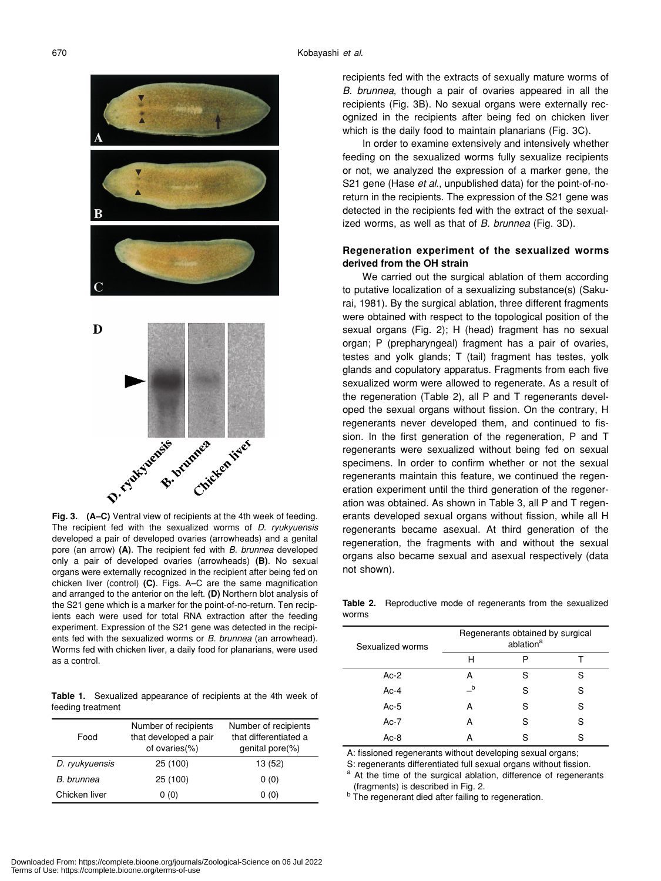

The recipient fed with the sexualized worms of *D. ryukyuensis* developed a pair of developed ovaries (arrowheads) and a genital pore (an arrow) **(A)**. The recipient fed with *B. brunnea* developed only a pair of developed ovaries (arrowheads) **(B)**. No sexual organs were externally recognized in the recipient after being fed on chicken liver (control) **(C)**. Figs. A–C are the same magnification and arranged to the anterior on the left. **(D)** Northern blot analysis of the S21 gene which is a marker for the point-of-no-return. Ten recipients each were used for total RNA extraction after the feeding experiment. Expression of the S21 gene was detected in the recipients fed with the sexualized worms or *B. brunnea* (an arrowhead). Worms fed with chicken liver, a daily food for planarians, were used as a control.

**Table 1.** Sexualized appearance of recipients at the 4th week of feeding treatment

| Food           | Number of recipients<br>that developed a pair<br>of ovaries(%) | Number of recipients<br>that differentiated a<br>genital pore(%) |
|----------------|----------------------------------------------------------------|------------------------------------------------------------------|
| D. ryukyuensis | 25 (100)                                                       | 13 (52)                                                          |
| B. brunnea     | 25 (100)                                                       | 0(0)                                                             |
| Chicken liver  | 0(0)                                                           | 0(0)                                                             |

recipients fed with the extracts of sexually mature worms of *B. brunnea*, though a pair of ovaries appeared in all the recipients (Fig. 3B). No sexual organs were externally recognized in the recipients after being fed on chicken liver which is the daily food to maintain planarians (Fig. 3C).

In order to examine extensively and intensively whether feeding on the sexualized worms fully sexualize recipients or not, we analyzed the expression of a marker gene, the S21 gene (Hase *et al*., unpublished data) for the point-of-noreturn in the recipients. The expression of the S21 gene was detected in the recipients fed with the extract of the sexualized worms, as well as that of *B. brunnea* (Fig. 3D).

# **Regeneration experiment of the sexualized worms derived from the OH strain**

We carried out the surgical ablation of them according to putative localization of a sexualizing substance(s) (Sakurai, 1981). By the surgical ablation, three different fragments were obtained with respect to the topological position of the sexual organs (Fig. 2); H (head) fragment has no sexual organ; P (prepharyngeal) fragment has a pair of ovaries, testes and yolk glands; T (tail) fragment has testes, yolk glands and copulatory apparatus. Fragments from each five sexualized worm were allowed to regenerate. As a result of the regeneration (Table 2), all P and T regenerants developed the sexual organs without fission. On the contrary, H regenerants never developed them, and continued to fission. In the first generation of the regeneration, P and T regenerants were sexualized without being fed on sexual specimens. In order to confirm whether or not the sexual regenerants maintain this feature, we continued the regeneration experiment until the third generation of the regeneration was obtained. As shown in Table 3, all P and T regenerants developed sexual organs without fission, while all H regenerants became asexual. At third generation of the regeneration, the fragments with and without the sexual organs also became sexual and asexual respectively (data not shown).

**Table 2.** Reproductive mode of regenerants from the sexualized worms

| Sexualized worms | Regenerants obtained by surgical<br>ablation <sup>a</sup> |   |   |  |
|------------------|-----------------------------------------------------------|---|---|--|
|                  | н                                                         | D |   |  |
| $Ac-2$           | А                                                         | S | S |  |
| $Ac-4$           | $\_b$                                                     | S | S |  |
| $Ac-5$           | А                                                         | S | S |  |
| $Ac-7$           | А                                                         | S | S |  |
| $Ac-8$           |                                                           |   | S |  |

A: fissioned regenerants without developing sexual organs;

S: regenerants differentiated full sexual organs without fission.

<sup>a</sup> At the time of the surgical ablation, difference of regenerants (fragments) is described in Fig. 2.

<sup>b</sup> The regenerant died after failing to regeneration.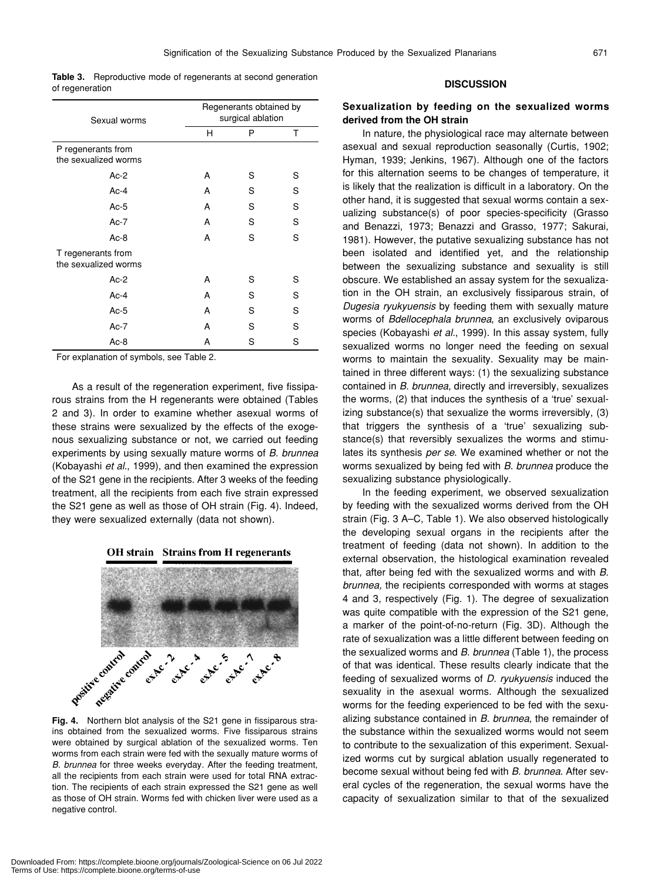|                 | <b>Table 3.</b> Reproductive mode of regenerants at second generation |  |  |
|-----------------|-----------------------------------------------------------------------|--|--|
| of regeneration |                                                                       |  |  |

| Sexual worms                               | Regenerants obtained by<br>surgical ablation |   |   |
|--------------------------------------------|----------------------------------------------|---|---|
|                                            | н                                            | P | т |
| P regenerants from<br>the sexualized worms |                                              |   |   |
| $Ac-2$                                     | A                                            | S | S |
| $Ac-4$                                     | A                                            | S | S |
| $Ac-5$                                     | A                                            | S | S |
| $Ac-7$                                     | A                                            | S | S |
| $Ac-8$                                     | A                                            | S | S |
| T regenerants from<br>the sexualized worms |                                              |   |   |
| $Ac-2$                                     | A                                            | S | S |
| $Ac-4$                                     | A                                            | S | S |
| $Ac-5$                                     | A                                            | S | S |
| $Ac-7$                                     | A                                            | S | S |
| $Ac-8$                                     | A                                            | S | S |

For explanation of symbols, see Table 2.

As a result of the regeneration experiment, five fissiparous strains from the H regenerants were obtained (Tables 2 and 3). In order to examine whether asexual worms of these strains were sexualized by the effects of the exogenous sexualizing substance or not, we carried out feeding experiments by using sexually mature worms of *B. brunnea* (Kobayashi *et al*., 1999), and then examined the expression of the S21 gene in the recipients. After 3 weeks of the feeding treatment, all the recipients from each five strain expressed the S21 gene as well as those of OH strain (Fig. 4). Indeed, they were sexualized externally (data not shown).

**OH** strain **Strains from H regenerants** 



ins obtained from the sexualized worms. Five fissiparous strains were obtained by surgical ablation of the sexualized worms. Ten worms from each strain were fed with the sexually mature worms of *B. brunnea* for three weeks everyday. After the feeding treatment, all the recipients from each strain were used for total RNA extraction. The recipients of each strain expressed the S21 gene as well as those of OH strain. Worms fed with chicken liver were used as a negative control.

# **DISCUSSION**

# **Sexualization by feeding on the sexualized worms derived from the OH strain**

In nature, the physiological race may alternate between asexual and sexual reproduction seasonally (Curtis, 1902; Hyman, 1939; Jenkins, 1967). Although one of the factors for this alternation seems to be changes of temperature, it is likely that the realization is difficult in a laboratory. On the other hand, it is suggested that sexual worms contain a sexualizing substance(s) of poor species-specificity (Grasso and Benazzi, 1973; Benazzi and Grasso, 1977; Sakurai, 1981). However, the putative sexualizing substance has not been isolated and identified yet, and the relationship between the sexualizing substance and sexuality is still obscure. We established an assay system for the sexualization in the OH strain, an exclusively fissiparous strain, of *Dugesia ryukyuensis* by feeding them with sexually mature worms of *Bdellocephala brunnea*, an exclusively oviparous species (Kobayashi *et al.*, 1999). In this assay system, fully sexualized worms no longer need the feeding on sexual worms to maintain the sexuality. Sexuality may be maintained in three different ways: (1) the sexualizing substance contained in *B. brunnea*, directly and irreversibly, sexualizes the worms, (2) that induces the synthesis of a 'true' sexualizing substance(s) that sexualize the worms irreversibly, (3) that triggers the synthesis of a 'true' sexualizing substance(s) that reversibly sexualizes the worms and stimulates its synthesis *per se*. We examined whether or not the worms sexualized by being fed with *B. brunnea* produce the sexualizing substance physiologically.

In the feeding experiment, we observed sexualization by feeding with the sexualized worms derived from the OH strain (Fig. 3 A–C, Table 1). We also observed histologically the developing sexual organs in the recipients after the treatment of feeding (data not shown). In addition to the external observation, the histological examination revealed that, after being fed with the sexualized worms and with *B. brunnea,* the recipients corresponded with worms at stages 4 and 3, respectively (Fig. 1). The degree of sexualization was quite compatible with the expression of the S21 gene, a marker of the point-of-no-return (Fig. 3D). Although the rate of sexualization was a little different between feeding on the sexualized worms and *B. brunnea* (Table 1), the process of that was identical. These results clearly indicate that the feeding of sexualized worms of *D. ryukyuensis* induced the sexuality in the asexual worms. Although the sexualized worms for the feeding experienced to be fed with the sexualizing substance contained in *B. brunnea*, the remainder of the substance within the sexualized worms would not seem to contribute to the sexualization of this experiment. Sexualized worms cut by surgical ablation usually regenerated to become sexual without being fed with *B. brunnea*. After several cycles of the regeneration, the sexual worms have the capacity of sexualization similar to that of the sexualized